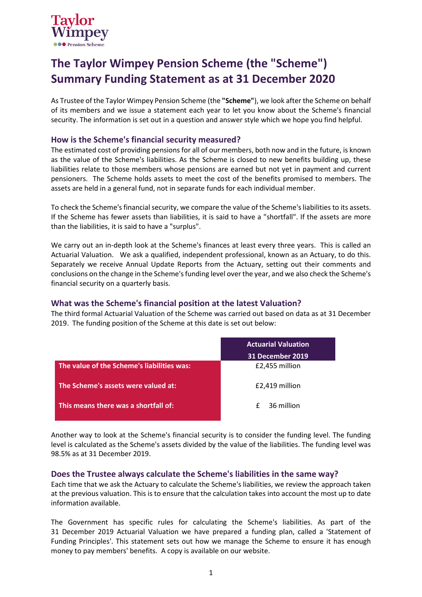

# **The Taylor Wimpey Pension Scheme (the "Scheme") Summary Funding Statement as at 31 December 2020**

As Trustee of the Taylor Wimpey Pension Scheme (the **"Scheme"**), we look after the Scheme on behalf of its members and we issue a statement each year to let you know about the Scheme's financial security. The information is set out in a question and answer style which we hope you find helpful.

## **How is the Scheme's financial security measured?**

The estimated cost of providing pensions for all of our members, both now and in the future, is known as the value of the Scheme's liabilities. As the Scheme is closed to new benefits building up, these liabilities relate to those members whose pensions are earned but not yet in payment and current pensioners. The Scheme holds assets to meet the cost of the benefits promised to members. The assets are held in a general fund, not in separate funds for each individual member.

To check the Scheme's financial security, we compare the value of the Scheme'sliabilities to its assets. If the Scheme has fewer assets than liabilities, it is said to have a "shortfall". If the assets are more than the liabilities, it is said to have a "surplus".

We carry out an in-depth look at the Scheme's finances at least every three years. This is called an Actuarial Valuation. We ask a qualified, independent professional, known as an Actuary, to do this. Separately we receive Annual Update Reports from the Actuary, setting out their comments and conclusions on the change in the Scheme's funding level over the year, and we also check the Scheme's financial security on a quarterly basis.

## **What was the Scheme's financial position at the latest Valuation?**

The third formal Actuarial Valuation of the Scheme was carried out based on data as at 31 December 2019. The funding position of the Scheme at this date is set out below:

|                                            | <b>Actuarial Valuation</b> |  |
|--------------------------------------------|----------------------------|--|
|                                            | 31 December 2019           |  |
| The value of the Scheme's liabilities was: | £2,455 million             |  |
| The Scheme's assets were valued at:        | £2,419 million             |  |
| This means there was a shortfall of:       | 36 million<br>£            |  |

Another way to look at the Scheme's financial security is to consider the funding level. The funding level is calculated as the Scheme's assets divided by the value of the liabilities. The funding level was 98.5% as at 31 December 2019.

## **Does the Trustee always calculate the Scheme's liabilities in the same way?**

Each time that we ask the Actuary to calculate the Scheme's liabilities, we review the approach taken at the previous valuation. This is to ensure that the calculation takes into account the most up to date information available.

The Government has specific rules for calculating the Scheme's liabilities. As part of the 31 December 2019 Actuarial Valuation we have prepared a funding plan, called a 'Statement of Funding Principles'. This statement sets out how we manage the Scheme to ensure it has enough money to pay members' benefits. A copy is available on our website.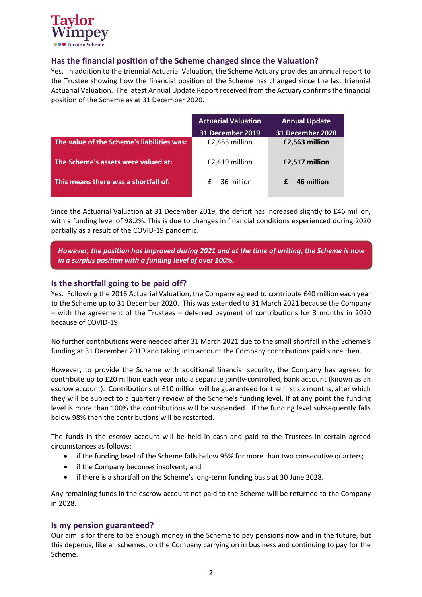

# **Has the financial position of the Scheme changed since the Valuation?**

Yes. In addition to the triennial Actuarial Valuation, the Scheme Actuary provides an annual report to the Trustee showing how the financial position of the Scheme has changed since the last triennial Actuarial Valuation. The latest Annual Update Report received from the Actuary confirmsthe financial position of the Scheme as at 31 December 2020.

|                                            | <b>Actuarial Valuation</b> | <b>Annual Update</b> |
|--------------------------------------------|----------------------------|----------------------|
|                                            | <b>31 December 2019</b>    | 31 December 2020     |
| The value of the Scheme's liabilities was: | £2,455 million             | £2,563 million       |
| The Scheme's assets were valued at:        | £2,419 million             | £2,517 million       |
| This means there was a shortfall of:       | 36 million<br>f            | 46 million           |

Since the Actuarial Valuation at 31 December 2019, the deficit has increased slightly to £46 million, with a funding level of 98.2%. This is due to changes in financial conditions experienced during 2020 partially as a result of the COVID-19 pandemic.

*However, the position has improved during 2021 and at the time of writing, the Scheme is now in a surplus position with a funding level of over 100%.* 

## **Is the shortfall going to be paid off?**

Yes. Following the 2016 Actuarial Valuation, the Company agreed to contribute £40 million each year to the Scheme up to 31 December 2020. This was extended to 31 March 2021 because the Company – with the agreement of the Trustees – deferred payment of contributions for 3 months in 2020 because of COVID-19.

No further contributions were needed after 31 March 2021 due to the small shortfall in the Scheme's funding at 31 December 2019 and taking into account the Company contributions paid since then.

However, to provide the Scheme with additional financial security, the Company has agreed to contribute up to £20 million each year into a separate jointly-controlled, bank account (known as an escrow account). Contributions of £10 million will be guaranteed for the first six months, after which they will be subject to a quarterly review of the Scheme's funding level. If at any point the funding level is more than 100% the contributions will be suspended. If the funding level subsequently falls below 98% then the contributions will be restarted.

The funds in the escrow account will be held in cash and paid to the Trustees in certain agreed circumstances as follows:

- if the funding level of the Scheme falls below 95% for more than two consecutive quarters;
- if the Company becomes insolvent; and
- if there is a shortfall on the Scheme's long-term funding basis at 30 June 2028.

Any remaining funds in the escrow account not paid to the Scheme will be returned to the Company in 2028.

#### **Is my pension guaranteed?**

Our aim is for there to be enough money in the Scheme to pay pensions now and in the future, but this depends, like all schemes, on the Company carrying on in business and continuing to pay for the Scheme.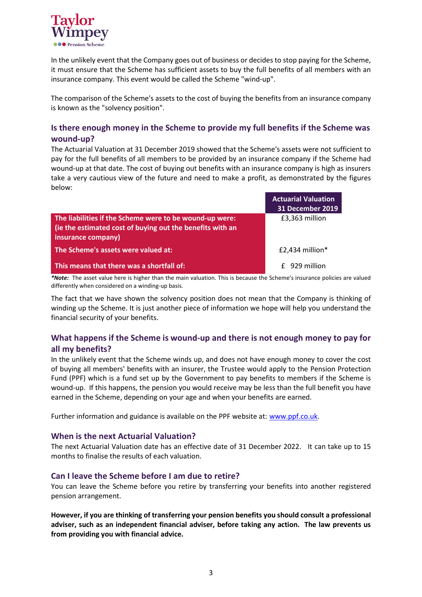

In the unlikely event that the Company goes out of business or decides to stop paying for the Scheme, it must ensure that the Scheme has sufficient assets to buy the full benefits of all members with an insurance company. This event would be called the Scheme "wind-up".

The comparison of the Scheme's assets to the cost of buying the benefits from an insurance company is known as the "solvency position".

# **Is there enough money in the Scheme to provide my full benefits if the Scheme was wound-up?**

The Actuarial Valuation at 31 December 2019 showed that the Scheme's assets were not sufficient to pay for the full benefits of all members to be provided by an insurance company if the Scheme had wound-up at that date. The cost of buying out benefits with an insurance company is high as insurers take a very cautious view of the future and need to make a profit, as demonstrated by the figures below:

|                                                           | <b>Actuarial Valuation</b> |
|-----------------------------------------------------------|----------------------------|
|                                                           | <b>31 December 2019</b>    |
| The liabilities if the Scheme were to be wound-up were:   | £3,363 million             |
| (ie the estimated cost of buying out the benefits with an |                            |
| insurance company)                                        |                            |
| The Scheme's assets were valued at:                       | $£2,434$ million*          |
| This means that there was a shortfall of:                 | f 929 million              |

*\*Note:* The asset value here is higher than the main valuation. This is because the Scheme's insurance policies are valued differently when considered on a winding-up basis.

The fact that we have shown the solvency position does not mean that the Company is thinking of winding up the Scheme. It is just another piece of information we hope will help you understand the financial security of your benefits.

# **What happens if the Scheme is wound-up and there is not enough money to pay for all my benefits?**

In the unlikely event that the Scheme winds up, and does not have enough money to cover the cost of buying all members' benefits with an insurer, the Trustee would apply to the Pension Protection Fund (PPF) which is a fund set up by the Government to pay benefits to members if the Scheme is wound-up. If this happens, the pension you would receive may be less than the full benefit you have earned in the Scheme, depending on your age and when your benefits are earned.

Further information and guidance is available on the PPF website at: [www.ppf.co.uk.](http://www.ppf.co.uk/)

#### **When is the next Actuarial Valuation?**

The next Actuarial Valuation date has an effective date of 31 December 2022. It can take up to 15 months to finalise the results of each valuation.

## **Can I leave the Scheme before I am due to retire?**

You can leave the Scheme before you retire by transferring your benefits into another registered pension arrangement.

**However, if you are thinking of transferring your pension benefits you should consult a professional adviser, such as an independent financial adviser, before taking any action. The law prevents us from providing you with financial advice.**